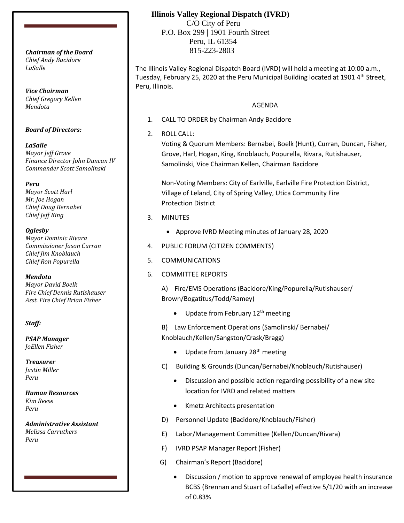*Chief Andy Bacidore LaSalle*

*Vice Chairman Chief Gregory Kellen Mendota*

#### *Board of Directors:*

*LaSalle Mayor Jeff Grove Finance Director John Duncan IV Commander Scott Samolinski*

*Peru*

*Mayor Scott Harl Mr. Joe Hogan Chief Doug Bernabei Chief Jeff King*

*Oglesby*

*Mayor Dominic Rivara Commissioner Jason Curran Chief Jim Knoblauch Chief Ron Popurella*

*Mendota Mayor David Boelk*

*Fire Chief Dennis Rutishauser Asst. Fire Chief Brian Fisher*

### *Staff:*

*PSAP Manager JoEllen Fisher*

*Treasurer Justin Miller Peru*

*Human Resources Kim Reese Peru*

*Administrative Assistant Melissa Carruthers Peru*

## **Illinois Valley Regional Dispatch (IVRD)**

 C/O City of Peru P.O. Box 299 | 1901 Fourth Street Peru, IL 61354 815-223-2803 *Chairman of the Board*

> The Illinois Valley Regional Dispatch Board (IVRD) will hold a meeting at 10:00 a.m., Tuesday, February 25, 2020 at the Peru Municipal Building located at 1901 4th Street, Peru, Illinois.

## AGENDA

- 1. CALL TO ORDER by Chairman Andy Bacidore
- 2. ROLL CALL:

Voting & Quorum Members: Bernabei, Boelk (Hunt), Curran, Duncan, Fisher, Grove, Harl, Hogan, King, Knoblauch, Popurella, Rivara, Rutishauser, Samolinski, Vice Chairman Kellen, Chairman Bacidore

Non-Voting Members: City of Earlville, Earlville Fire Protection District, Village of Leland, City of Spring Valley, Utica Community Fire Protection District

- 3. MINUTES
	- Approve IVRD Meeting minutes of January 28, 2020
- 4. PUBLIC FORUM (CITIZEN COMMENTS)
- 5. COMMUNICATIONS
- 6. COMMITTEE REPORTS

A) Fire/EMS Operations (Bacidore/King/Popurella/Rutishauser/ Brown/Bogatitus/Todd/Ramey)

• Update from February  $12<sup>th</sup>$  meeting

B) Law Enforcement Operations (Samolinski/ Bernabei/ Knoblauch/Kellen/Sangston/Crask/Bragg)

- Update from January  $28<sup>th</sup>$  meeting
- C) Building & Grounds (Duncan/Bernabei/Knoblauch/Rutishauser)
	- Discussion and possible action regarding possibility of a new site location for IVRD and related matters
	- Kmetz Architects presentation
- D) Personnel Update (Bacidore/Knoblauch/Fisher)
- E) Labor/Management Committee (Kellen/Duncan/Rivara)
- F) IVRD PSAP Manager Report (Fisher)
- G) Chairman's Report (Bacidore)
	- Discussion / motion to approve renewal of employee health insurance BCBS (Brennan and Stuart of LaSalle) effective 5/1/20 with an increase of 0.83%